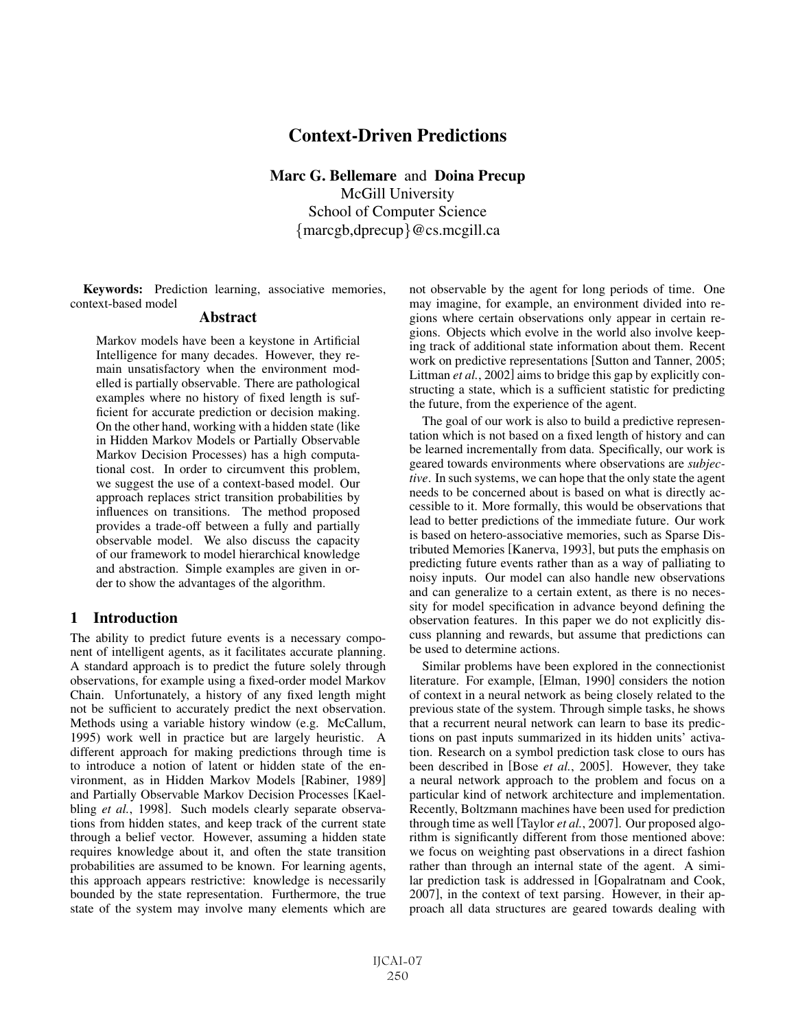# Context-Driven Predictions

Marc G. Bellemare and Doina Precup McGill University School of Computer Science {marcgb,dprecup}@cs.mcgill.ca

Keywords: Prediction learning, associative memories, context-based model

#### Abstract

Markov models have been a keystone in Artificial Intelligence for many decades. However, they remain unsatisfactory when the environment modelled is partially observable. There are pathological examples where no history of fixed length is sufficient for accurate prediction or decision making. On the other hand, working with a hidden state (like in Hidden Markov Models or Partially Observable Markov Decision Processes) has a high computational cost. In order to circumvent this problem, we suggest the use of a context-based model. Our approach replaces strict transition probabilities by influences on transitions. The method proposed provides a trade-off between a fully and partially observable model. We also discuss the capacity of our framework to model hierarchical knowledge and abstraction. Simple examples are given in order to show the advantages of the algorithm.

### 1 Introduction

The ability to predict future events is a necessary component of intelligent agents, as it facilitates accurate planning. A standard approach is to predict the future solely through observations, for example using a fixed-order model Markov Chain. Unfortunately, a history of any fixed length might not be sufficient to accurately predict the next observation. Methods using a variable history window (e.g. McCallum, 1995) work well in practice but are largely heuristic. A different approach for making predictions through time is to introduce a notion of latent or hidden state of the environment, as in Hidden Markov Models [Rabiner, 1989] and Partially Observable Markov Decision Processes [Kaelbling *et al.*, 1998]. Such models clearly separate observations from hidden states, and keep track of the current state through a belief vector. However, assuming a hidden state requires knowledge about it, and often the state transition probabilities are assumed to be known. For learning agents, this approach appears restrictive: knowledge is necessarily bounded by the state representation. Furthermore, the true state of the system may involve many elements which are not observable by the agent for long periods of time. One may imagine, for example, an environment divided into regions where certain observations only appear in certain regions. Objects which evolve in the world also involve keeping track of additional state information about them. Recent work on predictive representations [Sutton and Tanner, 2005; Littman *et al.*, 2002] aims to bridge this gap by explicitly constructing a state, which is a sufficient statistic for predicting the future, from the experience of the agent.

The goal of our work is also to build a predictive representation which is not based on a fixed length of history and can be learned incrementally from data. Specifically, our work is geared towards environments where observations are *subjective*. In such systems, we can hope that the only state the agent needs to be concerned about is based on what is directly accessible to it. More formally, this would be observations that lead to better predictions of the immediate future. Our work is based on hetero-associative memories, such as Sparse Distributed Memories [Kanerva, 1993], but puts the emphasis on predicting future events rather than as a way of palliating to noisy inputs. Our model can also handle new observations and can generalize to a certain extent, as there is no necessity for model specification in advance beyond defining the observation features. In this paper we do not explicitly discuss planning and rewards, but assume that predictions can be used to determine actions.

Similar problems have been explored in the connectionist literature. For example, [Elman, 1990] considers the notion of context in a neural network as being closely related to the previous state of the system. Through simple tasks, he shows that a recurrent neural network can learn to base its predictions on past inputs summarized in its hidden units' activation. Research on a symbol prediction task close to ours has been described in [Bose *et al.*, 2005]. However, they take a neural network approach to the problem and focus on a particular kind of network architecture and implementation. Recently, Boltzmann machines have been used for prediction through time as well [Taylor *et al.*, 2007]. Our proposed algorithm is significantly different from those mentioned above: we focus on weighting past observations in a direct fashion rather than through an internal state of the agent. A similar prediction task is addressed in [Gopalratnam and Cook, 2007], in the context of text parsing. However, in their approach all data structures are geared towards dealing with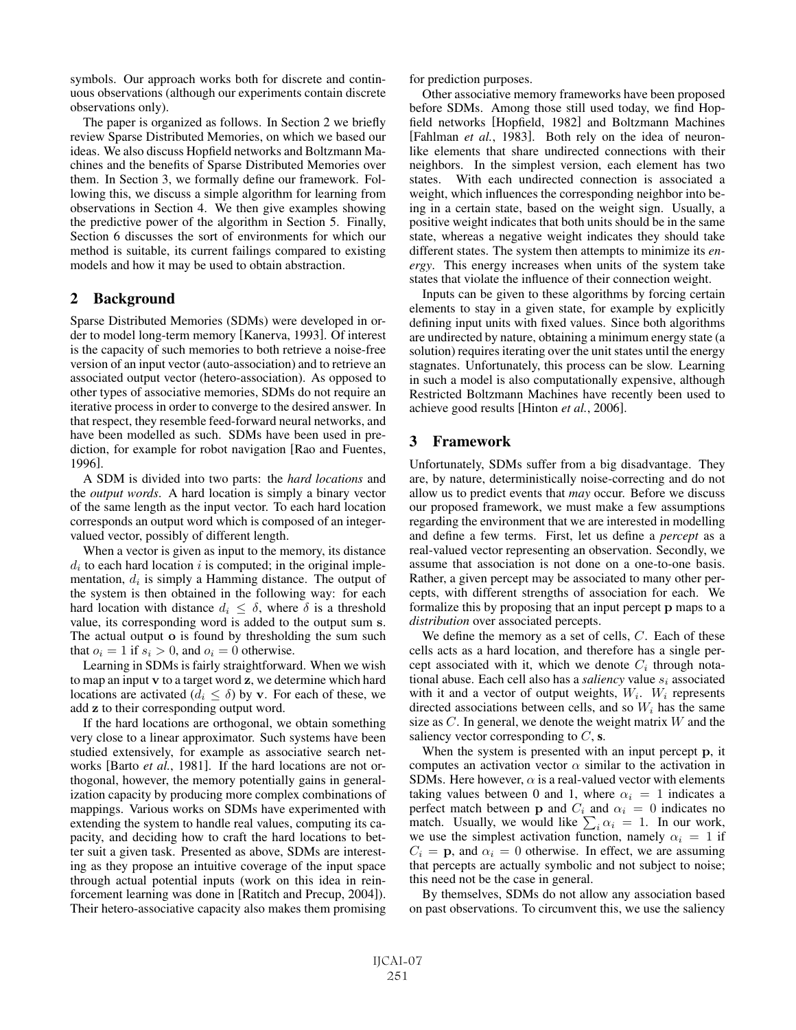symbols. Our approach works both for discrete and continuous observations (although our experiments contain discrete observations only).

The paper is organized as follows. In Section 2 we briefly review Sparse Distributed Memories, on which we based our ideas. We also discuss Hopfield networks and Boltzmann Machines and the benefits of Sparse Distributed Memories over them. In Section 3, we formally define our framework. Following this, we discuss a simple algorithm for learning from observations in Section 4. We then give examples showing the predictive power of the algorithm in Section 5. Finally, Section 6 discusses the sort of environments for which our method is suitable, its current failings compared to existing models and how it may be used to obtain abstraction.

### 2 Background

Sparse Distributed Memories (SDMs) were developed in order to model long-term memory [Kanerva, 1993]. Of interest is the capacity of such memories to both retrieve a noise-free version of an input vector (auto-association) and to retrieve an associated output vector (hetero-association). As opposed to other types of associative memories, SDMs do not require an iterative process in order to converge to the desired answer. In that respect, they resemble feed-forward neural networks, and have been modelled as such. SDMs have been used in prediction, for example for robot navigation [Rao and Fuentes, 1996].

A SDM is divided into two parts: the *hard locations* and the *output words*. A hard location is simply a binary vector of the same length as the input vector. To each hard location corresponds an output word which is composed of an integervalued vector, possibly of different length.

When a vector is given as input to the memory, its distance  $d_i$  to each hard location i is computed; in the original implementation,  $d_i$  is simply a Hamming distance. The output of the system is then obtained in the following way: for each hard location with distance  $d_i \leq \delta$ , where  $\delta$  is a threshold value, its corresponding word is added to the output sum **s**. The actual output **o** is found by thresholding the sum such that  $o_i = 1$  if  $s_i > 0$ , and  $o_i = 0$  otherwise.

Learning in SDMs is fairly straightforward. When we wish to map an input **v** to a target word **z**, we determine which hard locations are activated ( $d_i \leq \delta$ ) by **v**. For each of these, we add **z** to their corresponding output word.

If the hard locations are orthogonal, we obtain something very close to a linear approximator. Such systems have been studied extensively, for example as associative search networks [Barto *et al.*, 1981]. If the hard locations are not orthogonal, however, the memory potentially gains in generalization capacity by producing more complex combinations of mappings. Various works on SDMs have experimented with extending the system to handle real values, computing its capacity, and deciding how to craft the hard locations to better suit a given task. Presented as above, SDMs are interesting as they propose an intuitive coverage of the input space through actual potential inputs (work on this idea in reinforcement learning was done in [Ratitch and Precup, 2004]). Their hetero-associative capacity also makes them promising for prediction purposes.

Other associative memory frameworks have been proposed before SDMs. Among those still used today, we find Hopfield networks [Hopfield, 1982] and Boltzmann Machines [Fahlman *et al.*, 1983]. Both rely on the idea of neuronlike elements that share undirected connections with their neighbors. In the simplest version, each element has two states. With each undirected connection is associated a weight, which influences the corresponding neighbor into being in a certain state, based on the weight sign. Usually, a positive weight indicates that both units should be in the same state, whereas a negative weight indicates they should take different states. The system then attempts to minimize its *energy*. This energy increases when units of the system take states that violate the influence of their connection weight.

Inputs can be given to these algorithms by forcing certain elements to stay in a given state, for example by explicitly defining input units with fixed values. Since both algorithms are undirected by nature, obtaining a minimum energy state (a solution) requires iterating over the unit states until the energy stagnates. Unfortunately, this process can be slow. Learning in such a model is also computationally expensive, although Restricted Boltzmann Machines have recently been used to achieve good results [Hinton *et al.*, 2006].

# 3 Framework

Unfortunately, SDMs suffer from a big disadvantage. They are, by nature, deterministically noise-correcting and do not allow us to predict events that *may* occur. Before we discuss our proposed framework, we must make a few assumptions regarding the environment that we are interested in modelling and define a few terms. First, let us define a *percept* as a real-valued vector representing an observation. Secondly, we assume that association is not done on a one-to-one basis. Rather, a given percept may be associated to many other percepts, with different strengths of association for each. We formalize this by proposing that an input percept **p** maps to a *distribution* over associated percepts.

We define the memory as a set of cells,  $C$ . Each of these cells acts as a hard location, and therefore has a single percept associated with it, which we denote  $C_i$  through notational abuse. Each cell also has a *saliency* value  $s_i$  associated with it and a vector of output weights,  $W_i$ .  $W_i$  represents directed associations between cells, and so  $W_i$  has the same size as  $C$ . In general, we denote the weight matrix  $W$  and the saliency vector corresponding to  $C$ , s.

When the system is presented with an input percept **p**, it computes an activation vector  $\alpha$  similar to the activation in SDMs. Here however,  $\alpha$  is a real-valued vector with elements taking values between 0 and 1, where  $\alpha_i = 1$  indicates a perfect match between **p** and  $C_i$  and  $\alpha_i = 0$  indicates no match. Usually, we would like  $\sum_i \alpha_i = 1$ . In our work, we use the simplest activation function, namely  $\alpha_i = 1$  if  $C_i = \mathbf{p}$ , and  $\alpha_i = 0$  otherwise. In effect, we are assuming that percepts are actually symbolic and not subject to noise; this need not be the case in general.

By themselves, SDMs do not allow any association based on past observations. To circumvent this, we use the saliency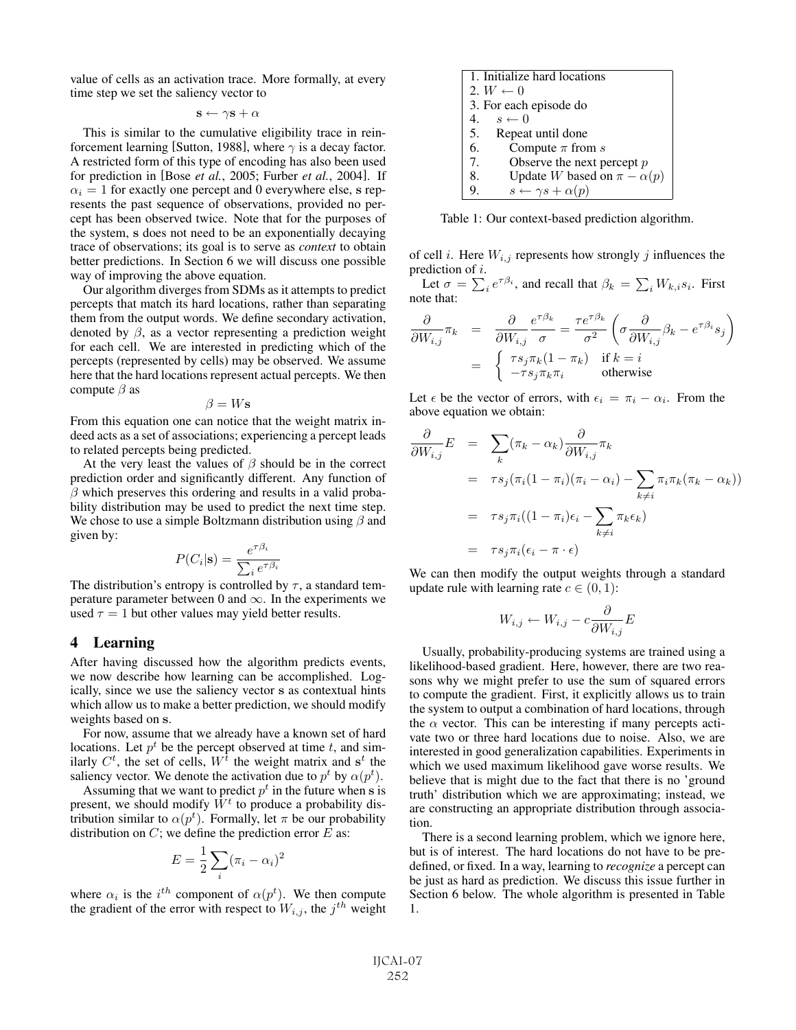value of cells as an activation trace. More formally, at every time step we set the saliency vector to

 $\mathbf{s} \leftarrow \gamma \mathbf{s} + \alpha$ 

This is similar to the cumulative eligibility trace in reinforcement learning [Sutton, 1988], where  $\gamma$  is a decay factor. A restricted form of this type of encoding has also been used for prediction in [Bose *et al.*, 2005; Furber *et al.*, 2004]. If  $\alpha_i = 1$  for exactly one percept and 0 everywhere else, **s** represents the past sequence of observations, provided no percept has been observed twice. Note that for the purposes of the system, **s** does not need to be an exponentially decaying trace of observations; its goal is to serve as *context* to obtain better predictions. In Section 6 we will discuss one possible way of improving the above equation.

Our algorithm diverges from SDMs as it attempts to predict percepts that match its hard locations, rather than separating them from the output words. We define secondary activation, denoted by  $\beta$ , as a vector representing a prediction weight for each cell. We are interested in predicting which of the percepts (represented by cells) may be observed. We assume here that the hard locations represent actual percepts. We then compute  $\beta$  as

 $\beta = Ws$ 

From this equation one can notice that the weight matrix indeed acts as a set of associations; experiencing a percept leads to related percepts being predicted.

At the very least the values of  $\beta$  should be in the correct prediction order and significantly different. Any function of  $\beta$  which preserves this ordering and results in a valid probability distribution may be used to predict the next time step. We chose to use a simple Boltzmann distribution using  $\beta$  and given by:

$$
P(C_i|\mathbf{s}) = \frac{e^{\tau \beta_i}}{\sum_i e^{\tau \beta_i}}
$$

The distribution's entropy is controlled by  $\tau$ , a standard temperature parameter between 0 and  $\infty$ . In the experiments we used  $\tau = 1$  but other values may yield better results.

## 4 Learning

After having discussed how the algorithm predicts events, we now describe how learning can be accomplished. Logically, since we use the saliency vector **s** as contextual hints which allow us to make a better prediction, we should modify weights based on **s**.

For now, assume that we already have a known set of hard locations. Let  $p^t$  be the percept observed at time t, and similarly  $C^t$ , the set of cells,  $W^t$  the weight matrix and  $s^t$  the saliency vector. We denote the activation due to  $p^t$  by  $\alpha(p^t)$ .

Assuming that we want to predict  $p<sup>t</sup>$  in the future when **s** is present, we should modify  $\bar{W}^t$  to produce a probability distribution similar to  $\alpha(p^t)$ . Formally, let  $\pi$  be our probability distribution on  $C$ ; we define the prediction error  $E$  as:

$$
E = \frac{1}{2} \sum_{i} (\pi_i - \alpha_i)^2
$$

where  $\alpha_i$  is the  $i^{th}$  component of  $\alpha(p^t)$ . We then compute the gradient of the error with respect to  $W_{i,j}$ , the j<sup>th</sup> weight

|    | 1. Initialize hard locations               |
|----|--------------------------------------------|
|    | 2. $W \leftarrow 0$                        |
|    | 3. For each episode do                     |
|    | 4. $s \leftarrow 0$                        |
|    | Repeat until done                          |
|    | Compute $\pi$ from $s$                     |
| 7. | Observe the next percept $p$               |
| 8. | Update <i>W</i> based on $\pi - \alpha(p)$ |
|    | $s \leftarrow \gamma s + \alpha(p)$        |
|    | 5.<br>6.                                   |

Table 1: Our context-based prediction algorithm.

of cell *i*. Here  $W_{i,j}$  represents how strongly *j* influences the prediction of i.

Let  $\sigma = \sum_i e^{\tau \beta_i}$ , and recall that  $\beta_k = \sum_i W_{k,i} s_i$ . First note that:

$$
\frac{\partial}{\partial W_{i,j}} \pi_k = \frac{\partial}{\partial W_{i,j}} \frac{e^{\tau \beta_k}}{\sigma} = \frac{\tau e^{\tau \beta_k}}{\sigma^2} \left( \sigma \frac{\partial}{\partial W_{i,j}} \beta_k - e^{\tau \beta_i} s_j \right)
$$

$$
= \begin{cases} \tau s_j \pi_k (1 - \pi_k) & \text{if } k = i \\ -\tau s_j \pi_k \pi_i & \text{otherwise} \end{cases}
$$

Let  $\epsilon$  be the vector of errors, with  $\epsilon_i = \pi_i - \alpha_i$ . From the above equation we obtain:

$$
\frac{\partial}{\partial W_{i,j}} E = \sum_{k} (\pi_k - \alpha_k) \frac{\partial}{\partial W_{i,j}} \pi_k
$$
  
\n
$$
= \tau s_j (\pi_i (1 - \pi_i) (\pi_i - \alpha_i) - \sum_{k \neq i} \pi_i \pi_k (\pi_k - \alpha_k))
$$
  
\n
$$
= \tau s_j \pi_i ((1 - \pi_i) \epsilon_i - \sum_{k \neq i} \pi_k \epsilon_k)
$$
  
\n
$$
= \tau s_j \pi_i (\epsilon_i - \pi \cdot \epsilon)
$$

We can then modify the output weights through a standard update rule with learning rate  $c \in (0,1)$ :

$$
W_{i,j} \leftarrow W_{i,j} - c \frac{\partial}{\partial W_{i,j}} E
$$

Usually, probability-producing systems are trained using a likelihood-based gradient. Here, however, there are two reasons why we might prefer to use the sum of squared errors to compute the gradient. First, it explicitly allows us to train the system to output a combination of hard locations, through the  $\alpha$  vector. This can be interesting if many percepts activate two or three hard locations due to noise. Also, we are interested in good generalization capabilities. Experiments in which we used maximum likelihood gave worse results. We believe that is might due to the fact that there is no 'ground truth' distribution which we are approximating; instead, we are constructing an appropriate distribution through association.

There is a second learning problem, which we ignore here, but is of interest. The hard locations do not have to be predefined, or fixed. In a way, learning to *recognize* a percept can be just as hard as prediction. We discuss this issue further in Section 6 below. The whole algorithm is presented in Table 1.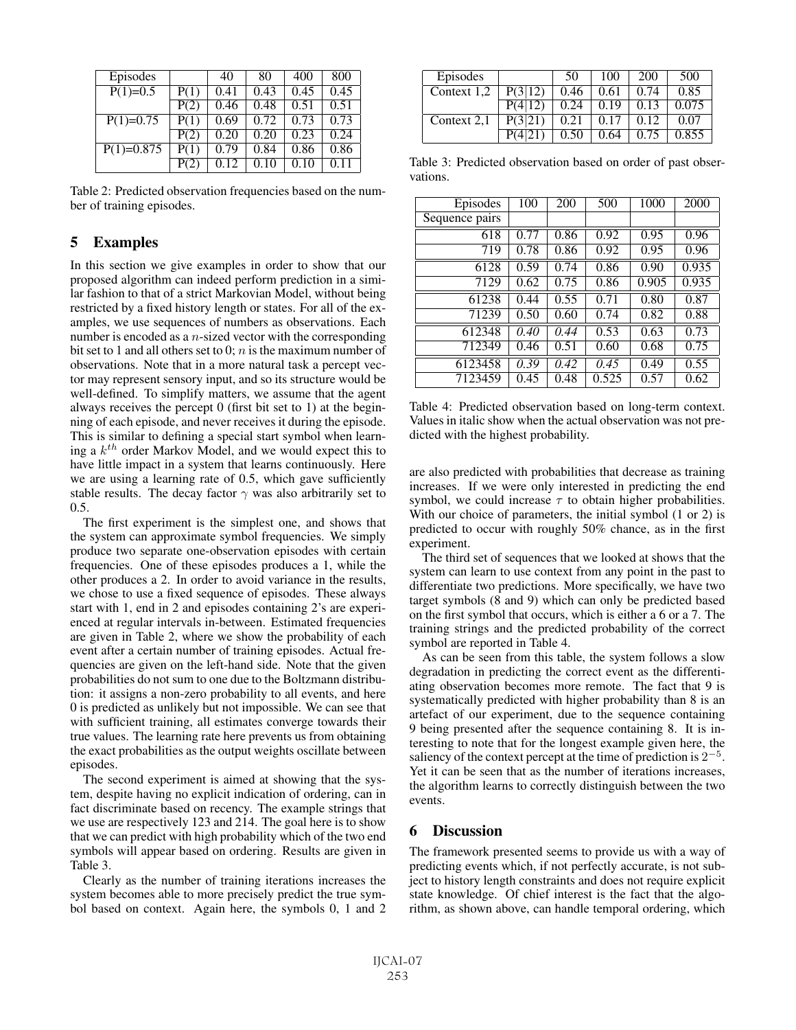| Episodes     |      | 40   | 80   | 400  | 800  |
|--------------|------|------|------|------|------|
| $P(1)=0.5$   | P(1) | 0.41 | 0.43 | 0.45 | 0.45 |
|              | P(2) | 0.46 | 0.48 | 0.51 | 0.51 |
| $P(1)=0.75$  | P(1) | 0.69 | 0.72 | 0.73 | 0.73 |
|              | P(2) | 0.20 | 0.20 | 0.23 | 0.24 |
| $P(1)=0.875$ | P(1) | 0.79 | 0.84 | 0.86 | 0.86 |
|              | P(2) |      |      | 0.10 |      |

Table 2: Predicted observation frequencies based on the number of training episodes.

# 5 Examples

In this section we give examples in order to show that our proposed algorithm can indeed perform prediction in a similar fashion to that of a strict Markovian Model, without being restricted by a fixed history length or states. For all of the examples, we use sequences of numbers as observations. Each number is encoded as a  $n$ -sized vector with the corresponding bit set to 1 and all others set to 0;  $n$  is the maximum number of observations. Note that in a more natural task a percept vector may represent sensory input, and so its structure would be well-defined. To simplify matters, we assume that the agent always receives the percept 0 (first bit set to 1) at the beginning of each episode, and never receives it during the episode. This is similar to defining a special start symbol when learning a  $k^{th}$  order Markov Model, and we would expect this to have little impact in a system that learns continuously. Here we are using a learning rate of 0.5, which gave sufficiently stable results. The decay factor  $\gamma$  was also arbitrarily set to 0.5.

The first experiment is the simplest one, and shows that the system can approximate symbol frequencies. We simply produce two separate one-observation episodes with certain frequencies. One of these episodes produces a 1, while the other produces a 2. In order to avoid variance in the results, we chose to use a fixed sequence of episodes. These always start with 1, end in 2 and episodes containing 2's are experienced at regular intervals in-between. Estimated frequencies are given in Table 2, where we show the probability of each event after a certain number of training episodes. Actual frequencies are given on the left-hand side. Note that the given probabilities do not sum to one due to the Boltzmann distribution: it assigns a non-zero probability to all events, and here 0 is predicted as unlikely but not impossible. We can see that with sufficient training, all estimates converge towards their true values. The learning rate here prevents us from obtaining the exact probabilities as the output weights oscillate between episodes.

The second experiment is aimed at showing that the system, despite having no explicit indication of ordering, can in fact discriminate based on recency. The example strings that we use are respectively 123 and 214. The goal here is to show that we can predict with high probability which of the two end symbols will appear based on ordering. Results are given in Table 3.

Clearly as the number of training iterations increases the system becomes able to more precisely predict the true symbol based on context. Again here, the symbols 0, 1 and 2

| Episodes    |         | 50   | 100  | 200  | 500   |
|-------------|---------|------|------|------|-------|
| Context 1,2 | P(3 12) | 0.46 | 0.61 | 0.74 | 0.85  |
|             |         | 0.24 | 0.19 | 0.13 | 0.075 |
| Context 2.1 | P(3 21) | 0.21 | 0.17 | 0.12 | 0.07  |
|             |         | 0.50 | 0.64 | 0.75 | 0.855 |

Table 3: Predicted observation based on order of past observations.

| Episodes       | 100  | 200  | 500   | 1000  | 2000  |
|----------------|------|------|-------|-------|-------|
| Sequence pairs |      |      |       |       |       |
| 618            | 0.77 | 0.86 | 0.92  | 0.95  | 0.96  |
| 719            | 0.78 | 0.86 | 0.92  | 0.95  | 0.96  |
| 6128           | 0.59 | 0.74 | 0.86  | 0.90  | 0.935 |
| 7129           | 0.62 | 0.75 | 0.86  | 0.905 | 0.935 |
| 61238          | 0.44 | 0.55 | 0.71  | 0.80  | 0.87  |
| 71239          | 0.50 | 0.60 | 0.74  | 0.82  | 0.88  |
| 612348         | 0.40 | 0.44 | 0.53  | 0.63  | 0.73  |
| 712349         | 0.46 | 0.51 | 0.60  | 0.68  | 0.75  |
| 6123458        | 0.39 | 0.42 | 0.45  | 0.49  | 0.55  |
| 7123459        | 0.45 | 0.48 | 0.525 | 0.57  | 0.62  |

Table 4: Predicted observation based on long-term context. Values in italic show when the actual observation was not predicted with the highest probability.

are also predicted with probabilities that decrease as training increases. If we were only interested in predicting the end symbol, we could increase  $\tau$  to obtain higher probabilities. With our choice of parameters, the initial symbol  $(1 \text{ or } 2)$  is predicted to occur with roughly 50% chance, as in the first experiment.

The third set of sequences that we looked at shows that the system can learn to use context from any point in the past to differentiate two predictions. More specifically, we have two target symbols (8 and 9) which can only be predicted based on the first symbol that occurs, which is either a 6 or a 7. The training strings and the predicted probability of the correct symbol are reported in Table 4.

As can be seen from this table, the system follows a slow degradation in predicting the correct event as the differentiating observation becomes more remote. The fact that 9 is systematically predicted with higher probability than 8 is an artefact of our experiment, due to the sequence containing 9 being presented after the sequence containing 8. It is interesting to note that for the longest example given here, the saliency of the context percept at the time of prediction is  $2^{-5}$ . Yet it can be seen that as the number of iterations increases, the algorithm learns to correctly distinguish between the two events.

# 6 Discussion

The framework presented seems to provide us with a way of predicting events which, if not perfectly accurate, is not subject to history length constraints and does not require explicit state knowledge. Of chief interest is the fact that the algorithm, as shown above, can handle temporal ordering, which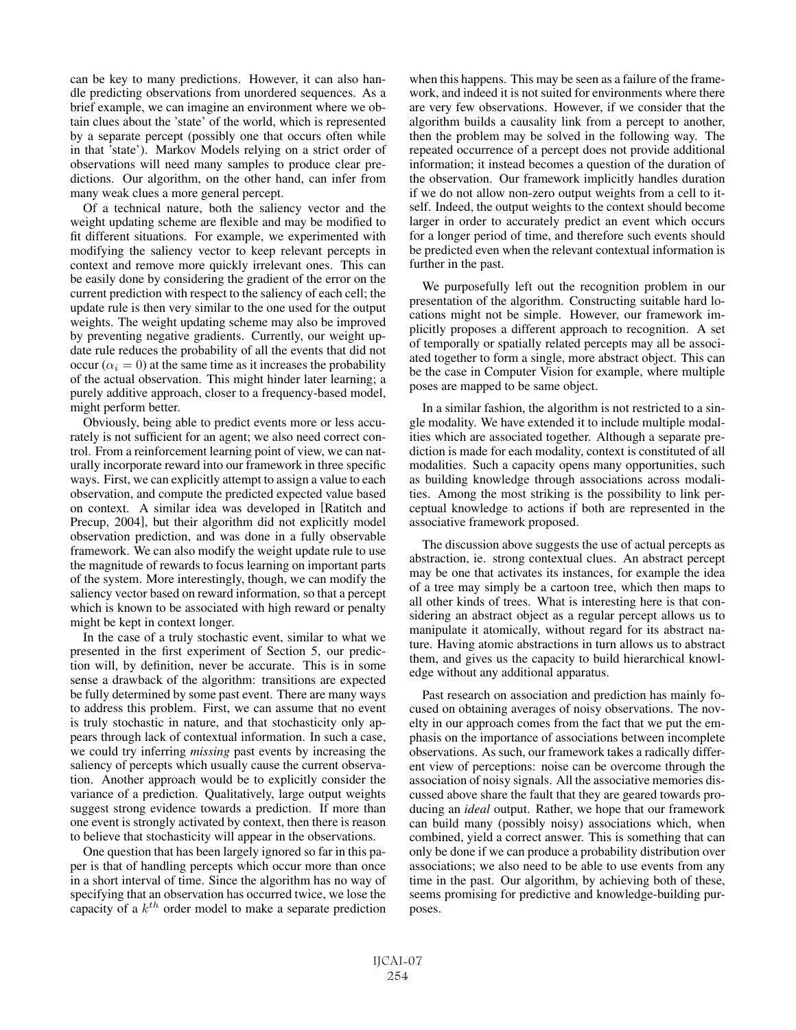can be key to many predictions. However, it can also handle predicting observations from unordered sequences. As a brief example, we can imagine an environment where we obtain clues about the 'state' of the world, which is represented by a separate percept (possibly one that occurs often while in that 'state'). Markov Models relying on a strict order of observations will need many samples to produce clear predictions. Our algorithm, on the other hand, can infer from many weak clues a more general percept.

Of a technical nature, both the saliency vector and the weight updating scheme are flexible and may be modified to fit different situations. For example, we experimented with modifying the saliency vector to keep relevant percepts in context and remove more quickly irrelevant ones. This can be easily done by considering the gradient of the error on the current prediction with respect to the saliency of each cell; the update rule is then very similar to the one used for the output weights. The weight updating scheme may also be improved by preventing negative gradients. Currently, our weight update rule reduces the probability of all the events that did not occur ( $\alpha_i = 0$ ) at the same time as it increases the probability of the actual observation. This might hinder later learning; a purely additive approach, closer to a frequency-based model, might perform better.

Obviously, being able to predict events more or less accurately is not sufficient for an agent; we also need correct control. From a reinforcement learning point of view, we can naturally incorporate reward into our framework in three specific ways. First, we can explicitly attempt to assign a value to each observation, and compute the predicted expected value based on context. A similar idea was developed in [Ratitch and Precup, 2004], but their algorithm did not explicitly model observation prediction, and was done in a fully observable framework. We can also modify the weight update rule to use the magnitude of rewards to focus learning on important parts of the system. More interestingly, though, we can modify the saliency vector based on reward information, so that a percept which is known to be associated with high reward or penalty might be kept in context longer.

In the case of a truly stochastic event, similar to what we presented in the first experiment of Section 5, our prediction will, by definition, never be accurate. This is in some sense a drawback of the algorithm: transitions are expected be fully determined by some past event. There are many ways to address this problem. First, we can assume that no event is truly stochastic in nature, and that stochasticity only appears through lack of contextual information. In such a case, we could try inferring *missing* past events by increasing the saliency of percepts which usually cause the current observation. Another approach would be to explicitly consider the variance of a prediction. Qualitatively, large output weights suggest strong evidence towards a prediction. If more than one event is strongly activated by context, then there is reason to believe that stochasticity will appear in the observations.

One question that has been largely ignored so far in this paper is that of handling percepts which occur more than once in a short interval of time. Since the algorithm has no way of specifying that an observation has occurred twice, we lose the capacity of a  $k^{th}$  order model to make a separate prediction when this happens. This may be seen as a failure of the framework, and indeed it is not suited for environments where there are very few observations. However, if we consider that the algorithm builds a causality link from a percept to another, then the problem may be solved in the following way. The repeated occurrence of a percept does not provide additional information; it instead becomes a question of the duration of the observation. Our framework implicitly handles duration if we do not allow non-zero output weights from a cell to itself. Indeed, the output weights to the context should become larger in order to accurately predict an event which occurs for a longer period of time, and therefore such events should be predicted even when the relevant contextual information is further in the past.

We purposefully left out the recognition problem in our presentation of the algorithm. Constructing suitable hard locations might not be simple. However, our framework implicitly proposes a different approach to recognition. A set of temporally or spatially related percepts may all be associated together to form a single, more abstract object. This can be the case in Computer Vision for example, where multiple poses are mapped to be same object.

In a similar fashion, the algorithm is not restricted to a single modality. We have extended it to include multiple modalities which are associated together. Although a separate prediction is made for each modality, context is constituted of all modalities. Such a capacity opens many opportunities, such as building knowledge through associations across modalities. Among the most striking is the possibility to link perceptual knowledge to actions if both are represented in the associative framework proposed.

The discussion above suggests the use of actual percepts as abstraction, ie. strong contextual clues. An abstract percept may be one that activates its instances, for example the idea of a tree may simply be a cartoon tree, which then maps to all other kinds of trees. What is interesting here is that considering an abstract object as a regular percept allows us to manipulate it atomically, without regard for its abstract nature. Having atomic abstractions in turn allows us to abstract them, and gives us the capacity to build hierarchical knowledge without any additional apparatus.

Past research on association and prediction has mainly focused on obtaining averages of noisy observations. The novelty in our approach comes from the fact that we put the emphasis on the importance of associations between incomplete observations. As such, our framework takes a radically different view of perceptions: noise can be overcome through the association of noisy signals. All the associative memories discussed above share the fault that they are geared towards producing an *ideal* output. Rather, we hope that our framework can build many (possibly noisy) associations which, when combined, yield a correct answer. This is something that can only be done if we can produce a probability distribution over associations; we also need to be able to use events from any time in the past. Our algorithm, by achieving both of these, seems promising for predictive and knowledge-building purposes.